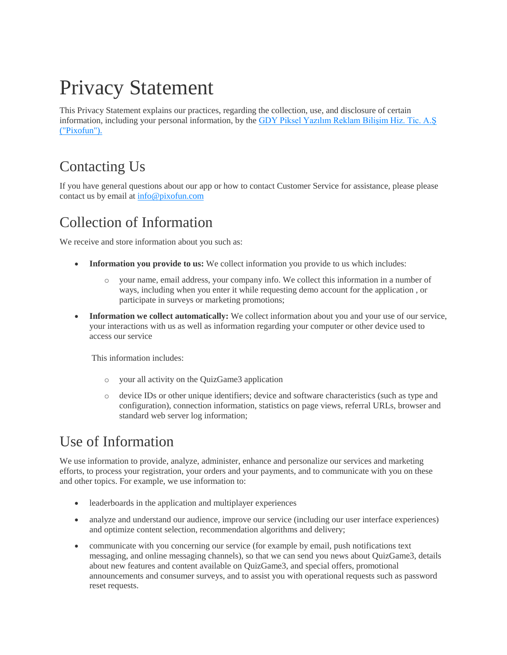# Privacy Statement

This Privacy Statement explains our practices, regarding the collection, use, and disclosure of certain information, including your personal information, by the GDY Piksel Yazılım Reklam Bilişim Hiz. Tic. A.Ş ("Pixofun").

## Contacting Us

If you have general questions about our app or how to contact Customer Service for assistance, please please contact us by email at info@pixofun.com

#### Collection of Information

We receive and store information about you such as:

- **Information you provide to us:** We collect information you provide to us which includes:
	- o your name, email address, your company info. We collect this information in a number of ways, including when you enter it while requesting demo account for the application , or participate in surveys or marketing promotions;
- **Information we collect automatically:** We collect information about you and your use of our service, your interactions with us as well as information regarding your computer or other device used to access our service

This information includes:

- o your all activity on the QuizGame3 application
- o device IDs or other unique identifiers; device and software characteristics (such as type and configuration), connection information, statistics on page views, referral URLs, browser and standard web server log information;

### Use of Information

We use information to provide, analyze, administer, enhance and personalize our services and marketing efforts, to process your registration, your orders and your payments, and to communicate with you on these and other topics. For example, we use information to:

- leaderboards in the application and multiplayer experiences
- analyze and understand our audience, improve our service (including our user interface experiences) and optimize content selection, recommendation algorithms and delivery;
- communicate with you concerning our service (for example by email, push notifications text messaging, and online messaging channels), so that we can send you news about QuizGame3, details about new features and content available on QuizGame3, and special offers, promotional announcements and consumer surveys, and to assist you with operational requests such as password reset requests.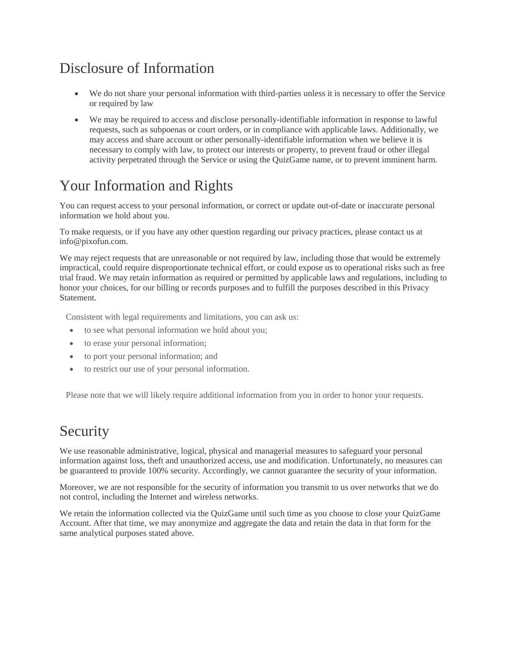## Disclosure of Information

- We do not share your personal information with third-parties unless it is necessary to offer the Service or required by law
- We may be required to access and disclose personally-identifiable information in response to lawful requests, such as subpoenas or court orders, or in compliance with applicable laws. Additionally, we may access and share account or other personally-identifiable information when we believe it is necessary to comply with law, to protect our interests or property, to prevent fraud or other illegal activity perpetrated through the Service or using the QuizGame name, or to prevent imminent harm.

## Your Information and Rights

You can request access to your personal information, or correct or update out-of-date or inaccurate personal information we hold about you.

To make requests, or if you have any other question regarding our privacy practices, please contact us at info@pixofun.com.

We may reject requests that are unreasonable or not required by law, including those that would be extremely impractical, could require disproportionate technical effort, or could expose us to operational risks such as free trial fraud. We may retain information as required or permitted by applicable laws and regulations, including to honor your choices, for our billing or records purposes and to fulfill the purposes described in this Privacy Statement.

Consistent with legal requirements and limitations, you can ask us:

- to see what personal information we hold about you;
- to erase your personal information;
- to port your personal information; and
- to restrict our use of your personal information.

Please note that we will likely require additional information from you in order to honor your requests.

#### Security

We use reasonable administrative, logical, physical and managerial measures to safeguard your personal information against loss, theft and unauthorized access, use and modification. Unfortunately, no measures can be guaranteed to provide 100% security. Accordingly, we cannot guarantee the security of your information.

Moreover, we are not responsible for the security of information you transmit to us over networks that we do not control, including the Internet and wireless networks.

We retain the information collected via the QuizGame until such time as you choose to close your QuizGame Account. After that time, we may anonymize and aggregate the data and retain the data in that form for the same analytical purposes stated above.